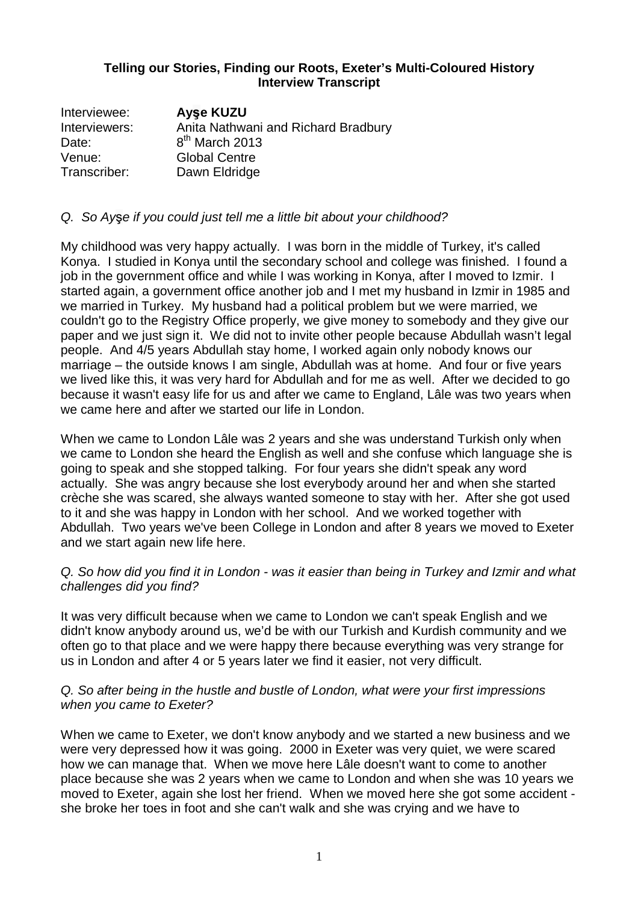## **Telling our Stories, Finding our Roots, Exeter's Multi-Coloured History Interview Transcript**

| Interviewee:  | <b>Ayse KUZU</b>                    |
|---------------|-------------------------------------|
| Interviewers: | Anita Nathwani and Richard Bradbury |
| Date:         | $8th$ March 2013                    |
| Venue:        | <b>Global Centre</b>                |
| Transcriber:  | Dawn Eldridge                       |

## Q. So Ayşe if you could just tell me a little bit about your childhood?

My childhood was very happy actually. I was born in the middle of Turkey, it's called Konya. I studied in Konya until the secondary school and college was finished. I found a job in the government office and while I was working in Konya, after I moved to Izmir. I started again, a government office another job and I met my husband in Izmir in 1985 and we married in Turkey. My husband had a political problem but we were married, we couldn't go to the Registry Office properly, we give money to somebody and they give our paper and we just sign it. We did not to invite other people because Abdullah wasn't legal people. And 4/5 years Abdullah stay home, I worked again only nobody knows our marriage – the outside knows I am single, Abdullah was at home. And four or five years we lived like this, it was very hard for Abdullah and for me as well. After we decided to go because it wasn't easy life for us and after we came to England, Lâle was two years when we came here and after we started our life in London.

When we came to London Lâle was 2 years and she was understand Turkish only when we came to London she heard the English as well and she confuse which language she is going to speak and she stopped talking. For four years she didn't speak any word actually. She was angry because she lost everybody around her and when she started crèche she was scared, she always wanted someone to stay with her. After she got used to it and she was happy in London with her school. And we worked together with Abdullah. Two years we've been College in London and after 8 years we moved to Exeter and we start again new life here.

#### Q. So how did you find it in London - was it easier than being in Turkey and Izmir and what challenges did you find?

It was very difficult because when we came to London we can't speak English and we didn't know anybody around us, we'd be with our Turkish and Kurdish community and we often go to that place and we were happy there because everything was very strange for us in London and after 4 or 5 years later we find it easier, not very difficult.

#### Q. So after being in the hustle and bustle of London, what were your first impressions when you came to Exeter?

When we came to Exeter, we don't know anybody and we started a new business and we were very depressed how it was going. 2000 in Exeter was very quiet, we were scared how we can manage that. When we move here Lâle doesn't want to come to another place because she was 2 years when we came to London and when she was 10 years we moved to Exeter, again she lost her friend. When we moved here she got some accident she broke her toes in foot and she can't walk and she was crying and we have to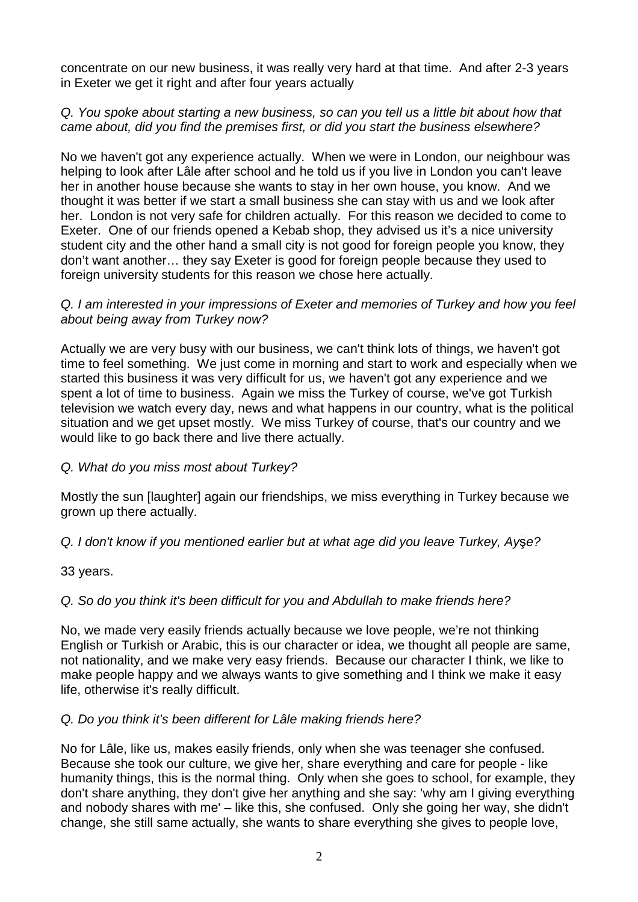concentrate on our new business, it was really very hard at that time. And after 2-3 years in Exeter we get it right and after four years actually

## Q. You spoke about starting a new business, so can you tell us a little bit about how that came about, did you find the premises first, or did you start the business elsewhere?

No we haven't got any experience actually. When we were in London, our neighbour was helping to look after Lâle after school and he told us if you live in London you can't leave her in another house because she wants to stay in her own house, you know. And we thought it was better if we start a small business she can stay with us and we look after her. London is not very safe for children actually. For this reason we decided to come to Exeter. One of our friends opened a Kebab shop, they advised us it's a nice university student city and the other hand a small city is not good for foreign people you know, they don't want another… they say Exeter is good for foreign people because they used to foreign university students for this reason we chose here actually.

#### Q. I am interested in your impressions of Exeter and memories of Turkey and how you feel about being away from Turkey now?

Actually we are very busy with our business, we can't think lots of things, we haven't got time to feel something. We just come in morning and start to work and especially when we started this business it was very difficult for us, we haven't got any experience and we spent a lot of time to business. Again we miss the Turkey of course, we've got Turkish television we watch every day, news and what happens in our country, what is the political situation and we get upset mostly. We miss Turkey of course, that's our country and we would like to go back there and live there actually.

# Q. What do you miss most about Turkey?

Mostly the sun [laughter] again our friendships, we miss everything in Turkey because we grown up there actually.

#### Q. I don't know if you mentioned earlier but at what age did you leave Turkey, Ayşe?

33 years.

# Q. So do you think it's been difficult for you and Abdullah to make friends here?

No, we made very easily friends actually because we love people, we're not thinking English or Turkish or Arabic, this is our character or idea, we thought all people are same, not nationality, and we make very easy friends. Because our character I think, we like to make people happy and we always wants to give something and I think we make it easy life, otherwise it's really difficult.

#### Q. Do you think it's been different for Lâle making friends here?

No for Lâle, like us, makes easily friends, only when she was teenager she confused. Because she took our culture, we give her, share everything and care for people - like humanity things, this is the normal thing. Only when she goes to school, for example, they don't share anything, they don't give her anything and she say: 'why am I giving everything and nobody shares with me' – like this, she confused. Only she going her way, she didn't change, she still same actually, she wants to share everything she gives to people love,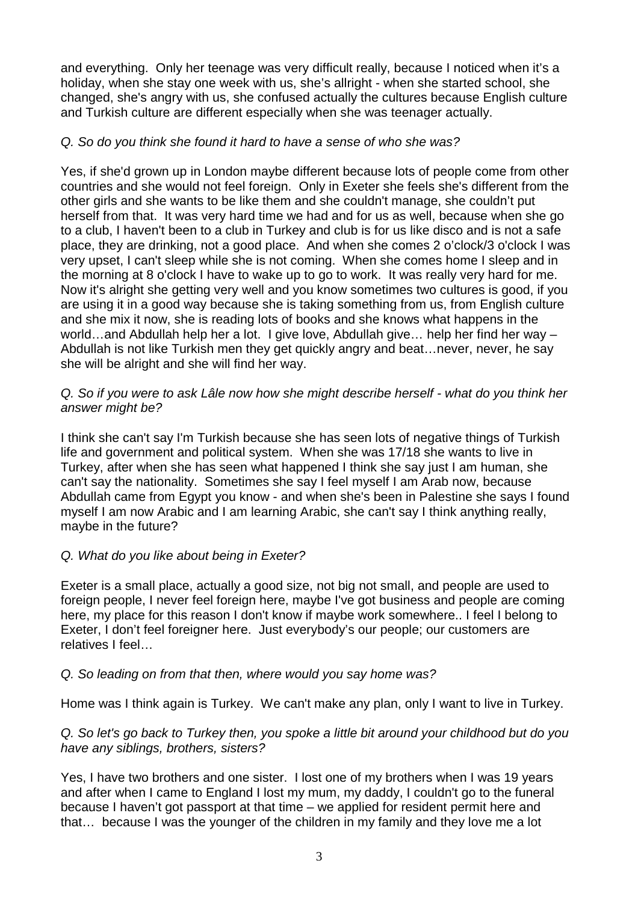and everything. Only her teenage was very difficult really, because I noticed when it's a holiday, when she stay one week with us, she's allright - when she started school, she changed, she's angry with us, she confused actually the cultures because English culture and Turkish culture are different especially when she was teenager actually.

### Q. So do you think she found it hard to have a sense of who she was?

Yes, if she'd grown up in London maybe different because lots of people come from other countries and she would not feel foreign. Only in Exeter she feels she's different from the other girls and she wants to be like them and she couldn't manage, she couldn't put herself from that. It was very hard time we had and for us as well, because when she go to a club, I haven't been to a club in Turkey and club is for us like disco and is not a safe place, they are drinking, not a good place. And when she comes 2 o'clock/3 o'clock I was very upset, I can't sleep while she is not coming. When she comes home I sleep and in the morning at 8 o'clock I have to wake up to go to work. It was really very hard for me. Now it's alright she getting very well and you know sometimes two cultures is good, if you are using it in a good way because she is taking something from us, from English culture and she mix it now, she is reading lots of books and she knows what happens in the world…and Abdullah help her a lot. I give love, Abdullah give… help her find her way – Abdullah is not like Turkish men they get quickly angry and beat…never, never, he say she will be alright and she will find her way.

#### Q. So if you were to ask Lâle now how she might describe herself - what do you think her answer might be?

I think she can't say I'm Turkish because she has seen lots of negative things of Turkish life and government and political system. When she was 17/18 she wants to live in Turkey, after when she has seen what happened I think she say just I am human, she can't say the nationality. Sometimes she say I feel myself I am Arab now, because Abdullah came from Egypt you know - and when she's been in Palestine she says I found myself I am now Arabic and I am learning Arabic, she can't say I think anything really, maybe in the future?

# Q. What do you like about being in Exeter?

Exeter is a small place, actually a good size, not big not small, and people are used to foreign people, I never feel foreign here, maybe I've got business and people are coming here, my place for this reason I don't know if maybe work somewhere.. I feel I belong to Exeter, I don't feel foreigner here. Just everybody's our people; our customers are relatives I feel…

#### Q. So leading on from that then, where would you say home was?

Home was I think again is Turkey. We can't make any plan, only I want to live in Turkey.

### Q. So let's go back to Turkey then, you spoke a little bit around your childhood but do you have any siblings, brothers, sisters?

Yes, I have two brothers and one sister. I lost one of my brothers when I was 19 years and after when I came to England I lost my mum, my daddy, I couldn't go to the funeral because I haven't got passport at that time – we applied for resident permit here and that… because I was the younger of the children in my family and they love me a lot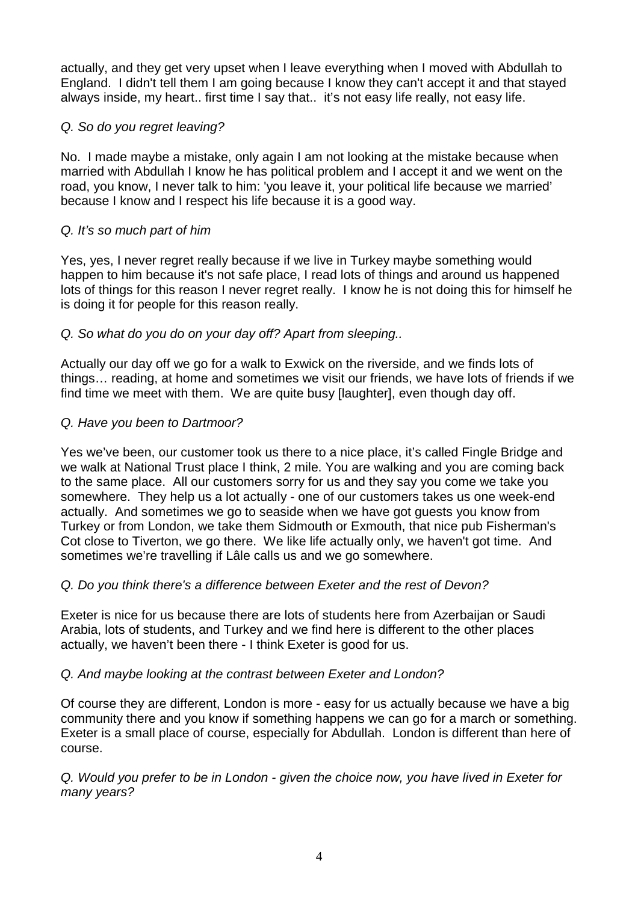actually, and they get very upset when I leave everything when I moved with Abdullah to England. I didn't tell them I am going because I know they can't accept it and that stayed always inside, my heart.. first time I say that.. it's not easy life really, not easy life.

# Q. So do you regret leaving?

No. I made maybe a mistake, only again I am not looking at the mistake because when married with Abdullah I know he has political problem and I accept it and we went on the road, you know, I never talk to him: 'you leave it, your political life because we married' because I know and I respect his life because it is a good way.

# Q. It's so much part of him

Yes, yes, I never regret really because if we live in Turkey maybe something would happen to him because it's not safe place, I read lots of things and around us happened lots of things for this reason I never regret really. I know he is not doing this for himself he is doing it for people for this reason really.

# Q. So what do you do on your day off? Apart from sleeping..

Actually our day off we go for a walk to Exwick on the riverside, and we finds lots of things… reading, at home and sometimes we visit our friends, we have lots of friends if we find time we meet with them. We are quite busy [laughter], even though day off.

# Q. Have you been to Dartmoor?

Yes we've been, our customer took us there to a nice place, it's called Fingle Bridge and we walk at National Trust place I think, 2 mile. You are walking and you are coming back to the same place. All our customers sorry for us and they say you come we take you somewhere. They help us a lot actually - one of our customers takes us one week-end actually. And sometimes we go to seaside when we have got guests you know from Turkey or from London, we take them Sidmouth or Exmouth, that nice pub Fisherman's Cot close to Tiverton, we go there. We like life actually only, we haven't got time. And sometimes we're travelling if Lâle calls us and we go somewhere.

# Q. Do you think there's a difference between Exeter and the rest of Devon?

Exeter is nice for us because there are lots of students here from Azerbaijan or Saudi Arabia, lots of students, and Turkey and we find here is different to the other places actually, we haven't been there - I think Exeter is good for us.

# Q. And maybe looking at the contrast between Exeter and London?

Of course they are different, London is more - easy for us actually because we have a big community there and you know if something happens we can go for a march or something. Exeter is a small place of course, especially for Abdullah. London is different than here of course.

Q. Would you prefer to be in London - given the choice now, you have lived in Exeter for many years?